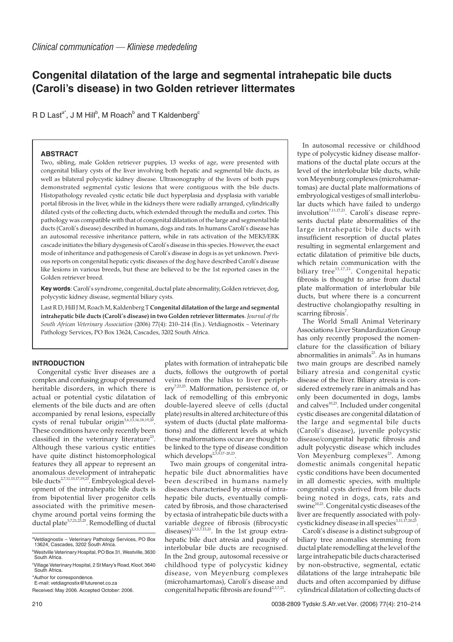# **Congenital dilatation of the large and segmental intrahepatic bile ducts (Caroli's disease) in two Golden retriever littermates**

R D Last<sup>a\*</sup>, J M Hill<sup>b</sup>, M Roach<sup>b</sup> and T Kaldenberg<sup>c</sup>

## **ABSTRACT**

Two, sibling, male Golden retriever puppies, 13 weeks of age, were presented with congenital biliary cysts of the liver involving both hepatic and segmental bile ducts, as well as bilateral polycystic kidney disease. Ultrasonography of the livers of both pups demonstrated segmental cystic lesions that were contiguous with the bile ducts. Histopathology revealed cystic ectatic bile duct hyperplasia and dysplasia with variable portal fibrosis in the liver, while in the kidneys there were radially arranged, cylindrically dilated cysts of the collecting ducts, which extended through the medulla and cortex. This pathology was compatible with that of congenital dilatation of the large and segmental bile ducts (Caroli's disease) described in humans, dogs and rats. In humans Caroli's disease has an autosomal recessive inheritance pattern, while in rats activation of the MEK5/ERK cascade initiates the biliary dysgenesis of Caroli's disease in this species. However, the exact mode of inheritance and pathogenesis of Caroli's disease in dogs is as yet unknown. Previous reports on congenital hepatic cystic diseases of the dog have described Caroli's disease like lesions in various breeds, but these are believed to be the 1st reported cases in the Golden retriever breed.

**Key words**: Caroli's syndrome, congenital, ductal plate abnormality, Golden retriever, dog, polycystic kidney disease, segmental biliary cysts.

Last R D, Hill J M, Roach M, Kaldenberg T **Congenital dilatation of the large and segmental intrahepatic bile ducts (Caroli's disease) in two Golden retriever littermates**. *Journal of the South African Veterinary Association* (2006) 77(4): 210–214 (En.). Vetdiagnostix – Veterinary Pathology Services, PO Box 13624, Cascades, 3202 South Africa.

# **INTRODUCTION**

Congenital cystic liver diseases are a complex and confusing group of presumed heritable disorders, in which there is actual or potential cystic dilatation of elements of the bile ducts and are often accompanied by renal lesions, especially cysts of renal tubular origin<sup>3,6,13,16,18,19,20</sup>. These conditions have only recently been classified in the veterinary literature<sup>23</sup>. Although these various cystic entities have quite distinct histomorphological features they all appear to represent an anomalous development of intrahepatic bile ducts<sup>2,7,11,13,17,19,23</sup>. Embryological development of the intrahepatic bile ducts is from bipotential liver progenitor cells associated with the primitive mesenchyme around portal veins forming the ductal plate<sup>5,7,21,23,25</sup>. Remodelling of ductal

plates with formation of intrahepatic bile ducts, follows the outgrowth of portal veins from the hilus to liver periphery<sup>7,23,25</sup>. Malformation, persistence of, or lack of remodelling of this embryonic double-layered sleeve of cells (ductal plate) results in altered architecture of this system of ducts (ductal plate malformations) and the different levels at which these malformations occur are thought to be linked to the type of disease condition which develops<sup>2,5,9,17-20,23</sup>.

Two main groups of congenital intrahepatic bile duct abnormalities have been described in humans namely diseases characterised by atresia of intrahepatic bile ducts, eventually complicated by fibrosis, and those characterised by ectasia of intrahepatic bile ducts with a variable degree of fibrosis (fibrocystic diseases)<sup>2,3,5,7,13,21</sup>. In the 1st group extrahepatic bile duct atresia and paucity of interlobular bile ducts are recognised. In the 2nd group, autosomal recessive or childhood type of polycystic kidney disease, von Meyenburg complexes (microhamartomas), Caroli's disease and congenital hepatic fibrosis are found<sup>2,3,7,21</sup>.

In autosomal recessive or childhood type of polycystic kidney disease malformations of the ductal plate occurs at the level of the interlobular bile ducts, while von Meyenburg complexes (microhamartomas) are ductal plate malformations of embryological vestiges of small interlobular ducts which have failed to undergo involution<sup>7,11,17,21</sup>. Caroli's disease represents ductal plate abnormalities of the large intrahepatic bile ducts with insufficient resorption of ductal plates resulting in segmental enlargement and ectatic dilatation of primitive bile ducts, which retain communication with the biliary tree $^{13,17,21}$ . Congenital hepatic fibrosis is thought to arise from ductal plate malformation of interlobular bile ducts, but where there is a concurrent destructive cholangiopathy resulting in scarring fibrosis<sup>7</sup>.

The World Small Animal Veterinary Associations Liver Standardization Group has only recently proposed the nomenclature for the classification of biliary abnormalities in animals $^{23}$ . As in humans two main groups are described namely biliary atresia and congenital cystic disease of the liver. Biliary atresia is considered extremely rare in animals and has only been documented in dogs, lambs and calves $^{10,23}$ . Included under congenital cystic diseases are congenital dilatation of the large and segmental bile ducts (Caroli's disease), juvenile polycystic disease/congenital hepatic fibrosis and adult polycystic disease which includes Von Meyenburg complexes<sup>23</sup>. Among domestic animals congenital hepatic cystic conditions have been documented in all domestic species, with multiple congenital cysts derived from bile ducts being noted in dogs, cats, rats and swine $10,23$ . Congenital cystic diseases of the liver are frequently associated with polycystic kidney disease in all species<sup>3,11,17,20,23</sup>

Caroli's disease is a distinct subgroup of biliary tree anomalies stemming from ductal plate remodelling at the level of the large intrahepatic bile ducts characterised by non-obstructive, segmental, ectatic dilatations of the large intrahepatic bile ducts and often accompanied by diffuse cylindrical dilatation of collecting ducts of

a Vetdiagnostix – Veterinary Pathology Services, PO Box 13624, Cascades, 3202 South Africa. b Westville Veterinary Hospital, PO Box 31, Westville, 3630

South Africa. <sup>c</sup>Village Veterinary Hospital, 2 St Mary's Road, Kloof, 3640

South Africa.

<sup>\*</sup>Author for correspondence. E-mail: vetdiagnostix@futurenet.co.za

Received: May 2006. Accepted October: 2006.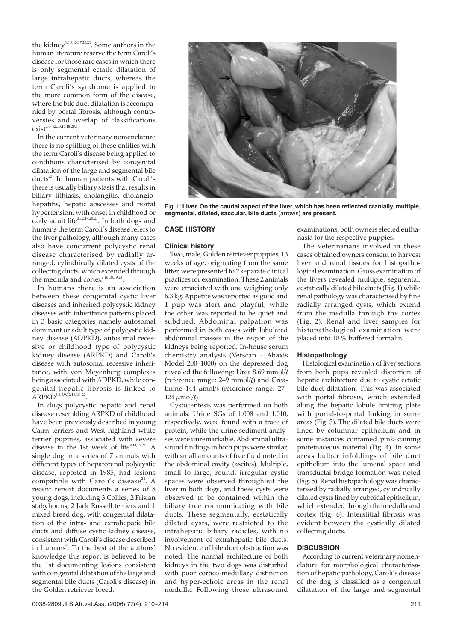the kidney<sup>3,6,9,13,17,20,21</sup>. Some authors in the human literature reserve the term Caroli's disease for those rare cases in which there is only segmental ectatic dilatation of large intrahepatic ducts, whereas the term Caroli's syndrome is applied to the more common form of the disease, where the bile duct dilatation is accompanied by portal fibrosis, although controversies and overlap of classifications  $exist^{6,7,12,13,16,18,20,3}$ 

In the current veterinary nomenclature there is no splitting of these entities with the term Caroli's disease being applied to conditions characterised by congenital dilatation of the large and segmental bile ducts<sup>23</sup>. In human patients with Caroli's there is usually biliary stasis that results in biliary lithiasis, cholangitis, cholangiohepatitis, hepatic abscesses and portal hypertension, with onset in childhood or early adult life<sup>3,12,17,20,21</sup>. In both dogs and humans the term Caroli's disease refers to the liver pathology, although many cases also have concurrent polycystic renal disease characterised by radially arranged, cylindrically dilated cysts of the collecting ducts, which extended through the medulla and cortex<sup>9,16,18,19,23</sup>

In humans there is an association between these congenital cystic liver diseases and inherited polycystic kidney diseases with inheritance patterns placed in 3 basic categories namely autosomal dominant or adult type of polycystic kidney disease (ADPKD), autosomal recessive or childhood type of polycystic kidney disease (ARPKD) and Caroli's disease with autosomal recessive inheritance, with von Meyenberg complexes being associated with ADPKD, while congenital hepatic fibrosis is linked to ARPKD<sup>3,6,8,9,12,16,18-20</sup>.

In dogs polycystic hepatic and renal disease resembling ARPKD of childhood have been previously described in young Cairn terriers and West highland white terrier puppies, associated with severe disease in the 1st week of life<sup>9,14,15,24</sup>. A single dog in a series of 7 animals with different types of hepatorenal polycystic disease, reported in 1985, had lesions compatible with Caroli's disease<sup>24</sup>. A recent report documents a series of 8 young dogs, including 3 Collies, 2 Frisian stabyhouns, 2 Jack Russell terriers and 1 mixed breed dog, with congenital dilatation of the intra- and extrahepatic bile ducts and diffuse cystic kidney disease, consistent with Caroli's disease described in humans<sup>9</sup>. To the best of the authors' knowledge this report is believed to be the 1st documenting lesions consistent with congenital dilatation of the large and segmental bile ducts (Caroli's disease) in the Golden retriever breed.



Fig. 1: **Liver. On the caudal aspect of the liver, which has been reflected cranially, multiple, segmental, dilated, saccular, bile ducts** (arrows) **are present.**

# **CASE HISTORY**

## **Clinical history**

Two, male, Golden retriever puppies, 13 weeks of age, originating from the same litter, were presented to 2 separate clinical practices for examination. These 2 animals were emaciated with one weighing only 6.3 kg. Appetite was reported as good and 1 pup was alert and playful, while the other was reported to be quiet and subdued. Abdominal palpation was performed in both cases with lobulated abdominal masses in the region of the kidneys being reported. In-house serum chemistry analysis (Vetscan – Abaxis Model 200–1000) on the depressed dog revealed the following: Urea 8.69 mmol $/k$ (reference range:  $2-9$  mmol/ $\theta$ ) and Creatinine 144  $\mu$ mol/ $\ell$  (reference range: 27– 124  $\mu$ mol/ $\ell$ ).

Cystocentesis was performed on both animals. Urine SGs of 1.008 and 1.010, respectively, were found with a trace of protein, while the urine sediment analyses were unremarkable. Abdominal ultrasound findings in both pups were similar, with small amounts of free fluid noted in the abdominal cavity (ascites). Multiple, small to large, round, irregular cystic spaces were observed throughout the liver in both dogs, and these cysts were observed to be contained within the biliary tree communicating with bile ducts. These segmentally, ecstatically dilated cysts, were restricted to the intrahepatic biliary radicles, with no involvement of extrahepatic bile ducts. No evidence of bile duct obstruction was noted. The normal architecture of both kidneys in the two dogs was disturbed with poor cortico-medullary distinction and hyper-echoic areas in the renal medulla. Following these ultrasound examinations, both owners elected euthanasia for the respective puppies.

The veterinarians involved in these cases obtained owners consent to harvest liver and renal tissues for histopathological examination. Gross examination of the livers revealed multiple, segmental, ecstatically dilated bile ducts (Fig. 1) while renal pathology was characterised by fine radially arranged cysts, which extend from the medulla through the cortex (Fig. 2). Renal and liver samples for histopathological examination were placed into 10 % buffered formalin.

#### **Histopathology**

Histological examination of liver sections from both pups revealed distortion of hepatic architecture due to cystic ectatic bile duct dilatation. This was associated with portal fibrosis, which extended along the hepatic lobule limiting plate with portal-to-portal linking in some areas (Fig. 3). The dilated bile ducts were lined by columnar epithelium and in some instances contained pink-staining proteinaceous material (Fig. 4). In some areas bulbar infoldings of bile duct epithelium into the lumenal space and transductal bridge formation was noted (Fig. 5). Renal histopathology was characterised by radially arranged, cylindrically dilated cysts lined by cuboidal epithelium, which extended through the medulla and cortex (Fig. 6). Interstitial fibrosis was evident between the cystically dilated collecting ducts.

#### **DISCUSSION**

According to current veterinary nomenclature for morphological characterisation of hepatic pathology, Caroli's disease of the dog is classified as a congenital dilatation of the large and segmental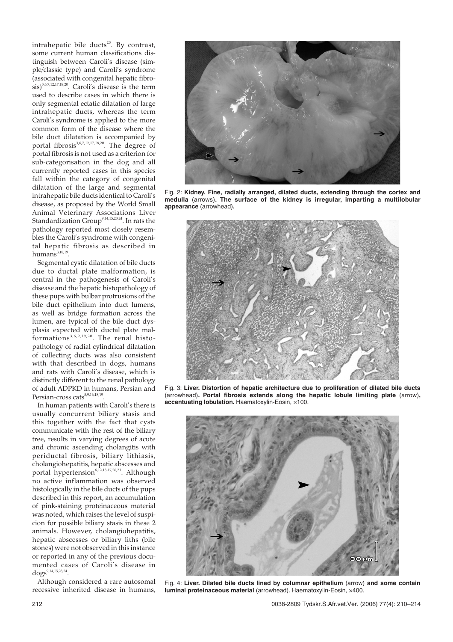intrahepatic bile ducts<sup>23</sup>. By contrast, some current human classifications distinguish between Caroli's disease (simple/classic type) and Caroli's syndrome (associated with congenital hepatic fibrosis)<sup>3,6,7,12,17,18,20</sup>. Caroli's disease is the term used to describe cases in which there is only segmental ectatic dilatation of large intrahepatic ducts, whereas the term Caroli's syndrome is applied to the more common form of the disease where the bile duct dilatation is accompanied by portal fibrosis<sup>3,6,7,12,17,18,20</sup>. The degree of portal fibrosis is not used as a criterion for sub-categorisation in the dog and all currently reported cases in this species fall within the category of congenital dilatation of the large and segmental intrahepatic bile ducts identical to Caroli's disease, as proposed by the World Small Animal Veterinary Associations Liver Standardization Group9,14,15,23,24. In rats the pathology reported most closely resembles the Caroli's syndrome with congenital hepatic fibrosis as described in  $humans<sup>3,18,19</sup>$ 

Segmental cystic dilatation of bile ducts due to ductal plate malformation, is central in the pathogenesis of Caroli's disease and the hepatic histopathology of these pups with bulbar protrusions of the bile duct epithelium into duct lumens, as well as bridge formation across the lumen, are typical of the bile duct dysplasia expected with ductal plate malformations 3,6,9,19,20 . The renal histopathology of radial cylindrical dilatation of collecting ducts was also consistent with that described in dogs, humans and rats with Caroli's disease, which is distinctly different to the renal pathology of adult ADPKD in humans, Persian and Persian-cross cats<sup>8,9,16,18,19</sup>.

In human patients with Caroli's there is usually concurrent biliary stasis and this together with the fact that cysts communicate with the rest of the biliary tree, results in varying degrees of acute and chronic ascending cholangitis with periductal fibrosis, biliary lithiasis, cholangiohepatitis, hepatic abscesses and portal hypertension<sup>6,12,13,17,20,21</sup>. Although no active inflammation was observed histologically in the bile ducts of the pups described in this report, an accumulation of pink-staining proteinaceous material was noted, which raises the level of suspicion for possible biliary stasis in these 2 animals. However, cholangiohepatitis, hepatic abscesses or biliary liths (bile stones) were not observed in this instance or reported in any of the previous documented cases of Caroli's disease in dogs<sup>9,14,15,23,24</sup>

Although considered a rare autosomal recessive inherited disease in humans,



Fig. 2: **Kidney. Fine, radially arranged, dilated ducts, extending through the cortex and medulla** (arrows)**. The surface of the kidney is irregular, imparting a multilobular appearance** (arrowhead)**.**



Fig. 3: **Liver. Distortion of hepatic architecture due to proliferation of dilated bile ducts** (arrowhead)**. Portal fibrosis extends along the hepatic lobule limiting plate** (arrow)**, accentuating lobulation.** Haematoxylin-Eosin, ×100.



Fig. 4: **Liver. Dilated bile ducts lined by columnar epithelium** (arrow) **and some contain luminal proteinaceous material** (arrowhead). Haematoxylin-Eosin, ×400.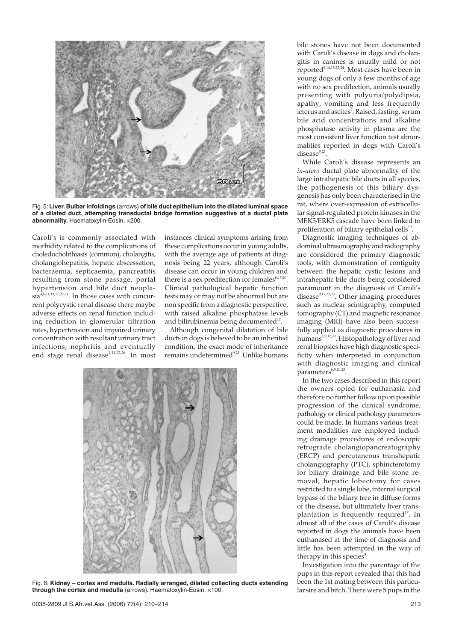

Fig. 5:**Liver. Bulbar infoldings** (arrows) **of bile duct epithelium into the dilated luminal space of a dilated duct, attempting transductal bridge formation suggestive of a ductal plate abnormality.** Haematoxylin-Eosin, ×200.

Caroli's is commonly associated with morbidity related to the complications of choledocholithiasis (common), cholangitis, cholangiohepatitis, hepatic abscessation, bacteraemia, septicaemia, pancreatitis resulting from stone passage, portal hypertension and bile duct neopla- $\sin^{4,6,11,13,17,20,21}$ . In those cases with concurrent polycystic renal disease there maybe adverse effects on renal function including reduction in glomerular filtration rates, hypertension and impaired urinary concentration with resultant urinary tract infections, nephritis and eventually end stage renal disease<sup>1,11,22,26</sup>. In most

instances clinical symptoms arising from these complications occur in young adults, with the average age of patients at diagnosis being 22 years, although Caroli's disease can occur in young children and there is a sex predilection for females $6,17,20$ . Clinical pathological hepatic function tests may or may not be abnormal but are non specific from a diagnostic perspective, with raised alkaline phosphatase levels and bilirubinemia being documented<sup>17</sup>.

Although congenital dilatation of bile ducts in dogs is believed to be an inherited condition, the exact mode of inheritance remains undetermined<sup>9,23</sup>. Unlike humans



Fig. 6: **Kidney – cortex and medulla. Radially arranged, dilated collecting ducts extending through the cortex and medulla** (arrows)**.** Haematoxylin-Eosin, ×100.

bile stones have not been documented with Caroli's disease in dogs and cholangitis in canines is usually mild or not reported<sup>9,14,15,23,24</sup>. Most cases have been in young dogs of only a few months of age with no sex predilection, animals usually presenting with polyuria/polydipsia, apathy, vomiting and less frequently icterus and ascites $^{\circ}$ . Raised, fasting, serum bile acid concentrations and alkaline phosphatase activity in plasma are the most consistent liver function test abnormalities reported in dogs with Caroli's  $disease<sup>9,23</sup>$ .

While Caroli's disease represents an *in-utero* ductal plate abnormality of the large intrahepatic bile ducts in all species, the pathogenesis of this biliary dysgenesis has only been characterised in the rat, where over-expression of extracellular signal-regulated protein kinases in the MEK5/ERK5 cascade have been linked to proliferation of biliary epithelial cells $19$ .

Diagnostic imaging techniques of abdominal ultrasonography and radiography are considered the primary diagnostic tools, with demonstration of contiguity between the hepatic cystic lesions and intrahepatic bile ducts being considered paramount in the diagnosis of Caroli's disease $9,17,22,23$ . Other imaging procedures such as nuclear scintigraphy, computed tomography (CT) and magnetic resonance imaging (MRI) have also been successfully applied as diagnostic procedures in humans<sup>1,9,17,22</sup>. Histopathology of liver and renal biopsies have high diagnostic specificity when interpreted in conjunction with diagnostic imaging and clinical parameters<sup>6,9,20,23</sup>.

In the two cases described in this report the owners opted for euthanasia and therefore no further follow up on possible progression of the clinical syndrome, pathology or clinical pathology parameters could be made. In humans various treatment modalities are employed including drainage procedures of endoscopic retrograde cholangiopancreatography (ERCP) and percutaneous transhepatic cholangiography (PTC), sphincterotomy for biliary drainage and bile stone removal, hepatic lobectomy for cases restricted to a single lobe, internal surgical bypass of the biliary tree in diffuse forms of the disease, but ultimately liver transplantation is frequently required<sup>17</sup>. In almost all of the cases of Caroli's disease reported in dogs the animals have been euthanased at the time of diagnosis and little has been attempted in the way of therapy in this species<sup>9</sup>.

Investigation into the parentage of the pups in this report revealed that this had been the 1st mating between this particular sire and bitch. There were 5 pups in the